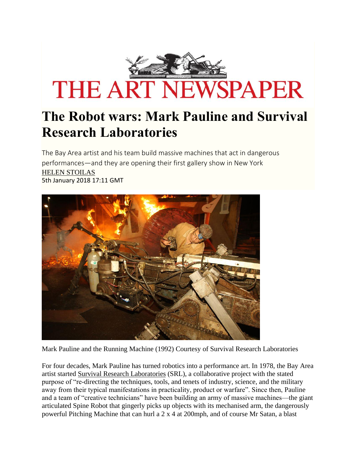

# **The Robot wars: Mark Pauline and Survival Research Laboratories**

The Bay Area artist and his team build massive machines that act in dangerous performances—and they are opening their first gallery show in New York [HELEN STOILAS](http://theartnewspaper.com/helen-stoilas)  5th January 2018 17:11 GMT



Mark Pauline and the Running Machine (1992) Courtesy of Survival Research Laboratories

For four decades, Mark Pauline has turned robotics into a performance art. In 1978, the Bay Area artist started [Survival Research Laboratories](http://srl.org/) (SRL), a collaborative project with the stated purpose of "re-directing the techniques, tools, and tenets of industry, science, and the military away from their typical manifestations in practicality, product or warfare". Since then, Pauline and a team of "creative technicians" have been building an army of massive machines—the giant articulated Spine Robot that gingerly picks up objects with its mechanised arm, the dangerously powerful Pitching Machine that can hurl a 2 x 4 at 200mph, and of course Mr Satan, a blast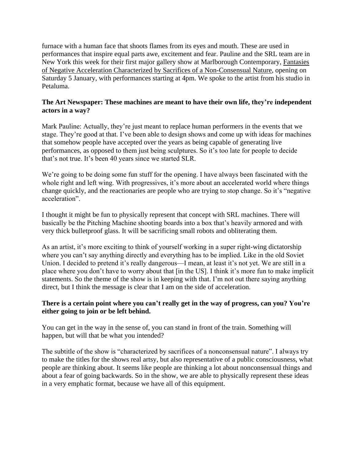furnace with a human face that shoots flames from its eyes and mouth. These are used in performances that inspire equal parts awe, excitement and fear. Pauline and the SRL team are in New York this week for their first major gallery show at Marlborough Contemporary, [Fantasies](http://www.marlboroughcontemporary.com/exhibitions/survival-research-laboratories)  [of Negative Acceleration Characterized by Sacrifices of a Non-Consensual Nature,](http://www.marlboroughcontemporary.com/exhibitions/survival-research-laboratories) opening on Saturday 5 January, with performances starting at 4pm. We spoke to the artist from his studio in Petaluma.

#### **The Art Newspaper: These machines are meant to have their own life, they're independent actors in a way?**

Mark Pauline: Actually, they're just meant to replace human performers in the events that we stage. They're good at that. I've been able to design shows and come up with ideas for machines that somehow people have accepted over the years as being capable of generating live performances, as opposed to them just being sculptures. So it's too late for people to decide that's not true. It's been 40 years since we started SLR.

We're going to be doing some fun stuff for the opening. I have always been fascinated with the whole right and left wing. With progressives, it's more about an accelerated world where things change quickly, and the reactionaries are people who are trying to stop change. So it's "negative acceleration".

I thought it might be fun to physically represent that concept with SRL machines. There will basically be the Pitching Machine shooting boards into a box that's heavily armored and with very thick bulletproof glass. It will be sacrificing small robots and obliterating them.

As an artist, it's more exciting to think of yourself working in a super right-wing dictatorship where you can't say anything directly and everything has to be implied. Like in the old Soviet Union. I decided to pretend it's really dangerous—I mean, at least it's not yet. We are still in a place where you don't have to worry about that [in the US]. I think it's more fun to make implicit statements. So the theme of the show is in keeping with that. I'm not out there saying anything direct, but I think the message is clear that I am on the side of acceleration.

## **There is a certain point where you can't really get in the way of progress, can you? You're either going to join or be left behind.**

 happen, but will that be what you intended? You can get in the way in the sense of, you can stand in front of the train. Something will

The subtitle of the show is "characterized by sacrifices of a nonconsensual nature". I always try to make the titles for the shows real artsy, but also representative of a public consciousness, what people are thinking about. It seems like people are thinking a lot about nonconsensual things and about a fear of going backwards. So in the show, we are able to physically represent these ideas in a very emphatic format, because we have all of this equipment.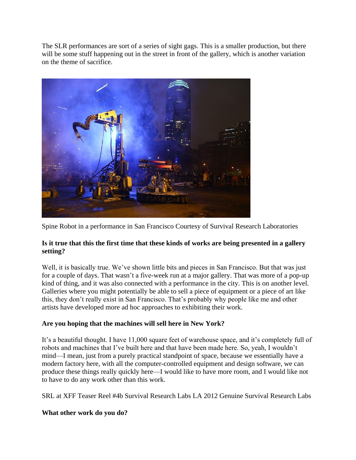The SLR performances are sort of a series of sight gags. This is a smaller production, but there will be some stuff happening out in the street in front of the gallery, which is another variation on the theme of sacrifice.



Spine Robot in a performance in San Francisco Courtesy of Survival Research Laboratories

## **Is it true that this the first time that these kinds of works are being presented in a gallery setting?**

Well, it is basically true. We've shown little bits and pieces in San Francisco. But that was just for a couple of days. That wasn't a five-week run at a major gallery. That was more of a pop-up kind of thing, and it was also connected with a performance in the city. This is on another level. Galleries where you might potentially be able to sell a piece of equipment or a piece of art like this, they don't really exist in San Francisco. That's probably why people like me and other artists have developed more ad hoc approaches to exhibiting their work.

## **Are you hoping that the machines will sell here in New York?**

 robots and machines that I've built here and that have been made here. So, yeah, I wouldn't It's a beautiful thought. I have 11,000 square feet of warehouse space, and it's completely full of mind—I mean, just from a purely practical standpoint of space, because we essentially have a modern factory here, with all the computer-controlled equipment and design software, we can produce these things really quickly here—I would like to have more room, and I would like not to have to do any work other than this work.

SRL at XFF Teaser Reel #4b Survival Research Labs LA 2012 Genuine Survival Research Labs

## **What other work do you do?**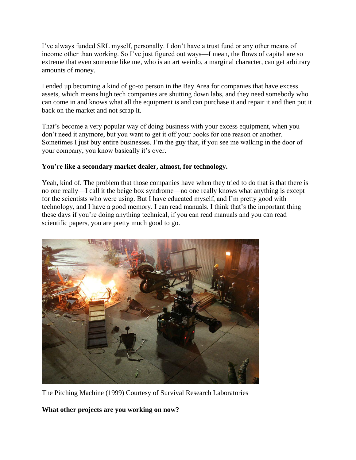I've always funded SRL myself, personally. I don't have a trust fund or any other means of income other than working. So I've just figured out ways—I mean, the flows of capital are so extreme that even someone like me, who is an art weirdo, a marginal character, can get arbitrary amounts of money.

 can come in and knows what all the equipment is and can purchase it and repair it and then put it I ended up becoming a kind of go-to person in the Bay Area for companies that have excess assets, which means high tech companies are shutting down labs, and they need somebody who back on the market and not scrap it.

That's become a very popular way of doing business with your excess equipment, when you don't need it anymore, but you want to get it off your books for one reason or another. Sometimes I just buy entire businesses. I'm the guy that, if you see me walking in the door of your company, you know basically it's over.

#### **You're like a secondary market dealer, almost, for technology.**

Yeah, kind of. The problem that those companies have when they tried to do that is that there is no one really—I call it the beige box syndrome—no one really knows what anything is except for the scientists who were using. But I have educated myself, and I'm pretty good with technology, and I have a good memory. I can read manuals. I think that's the important thing these days if you're doing anything technical, if you can read manuals and you can read scientific papers, you are pretty much good to go.



The Pitching Machine (1999) Courtesy of Survival Research Laboratories

**What other projects are you working on now?**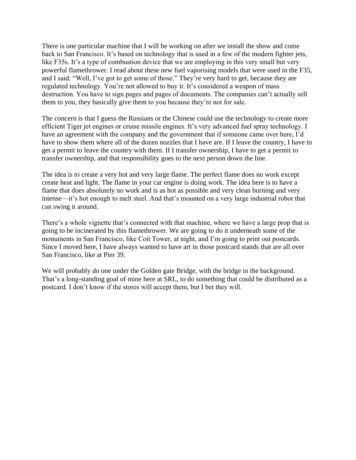like F35s. It's a type of combustion device that we are employing in this very small but very There is one particular machine that I will be working on after we install the show and come back to San Francisco. It's based on technology that is used in a few of the modern fighter jets, powerful flamethrower. I read about these new fuel vaporising models that were used in the F35, and I said: "Well, I've got to get some of those." They're very hard to get, because they are regulated technology. You're not allowed to buy it. It's considered a weapon of mass destruction. You have to sign pages and pages of documents. The companies can't actually sell them to you, they basically give them to you because they're not for sale.

The concern is that I guess the Russians or the Chinese could use the technology to create more efficient Tiger jet engines or cruise missile engines. It's very advanced fuel spray technology. I have an agreement with the company and the government that if someone came over here, I'd have to show them where all of the dozen nozzles that I have are. If I leave the country, I have to get a permit to leave the country with them. If I transfer ownership, I have to get a permit to transfer ownership, and that responsibility goes to the next person down the line.

The idea is to create a very hot and very large flame. The perfect flame does no work except create heat and light. The flame in your car engine is doing work. The idea here is to have a flame that does absolutely no work and is as hot as possible and very clean burning and very intense—it's hot enough to melt steel. And that's mounted on a very large industrial robot that can swing it around.

There's a whole vignette that's connected with that machine, where we have a large prop that is going to be incinerated by this flamethrower. We are going to do it underneath some of the monuments in San Francisco, like Coit Tower, at night, and I'm going to print out postcards. Since I moved here, I have always wanted to have art in those postcard stands that are all over San Francisco, like at Pier 39.

We will probably do one under the Golden gate Bridge, with the bridge in the background. That's a long-standing goal of mine here at SRL, to do something that could be distributed as a postcard. I don't know if the stores will accept them, but I bet they will.